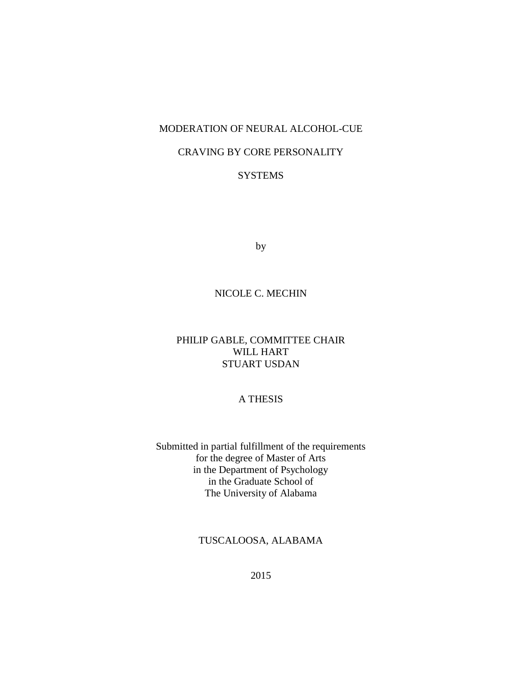# MODERATION OF NEURAL ALCOHOL-CUE

## CRAVING BY CORE PERSONALITY

# **SYSTEMS**

by

# NICOLE C. MECHIN

# PHILIP GABLE, COMMITTEE CHAIR WILL HART STUART USDAN

## A THESIS

Submitted in partial fulfillment of the requirements for the degree of Master of Arts in the Department of Psychology in the Graduate School of The University of Alabama

TUSCALOOSA, ALABAMA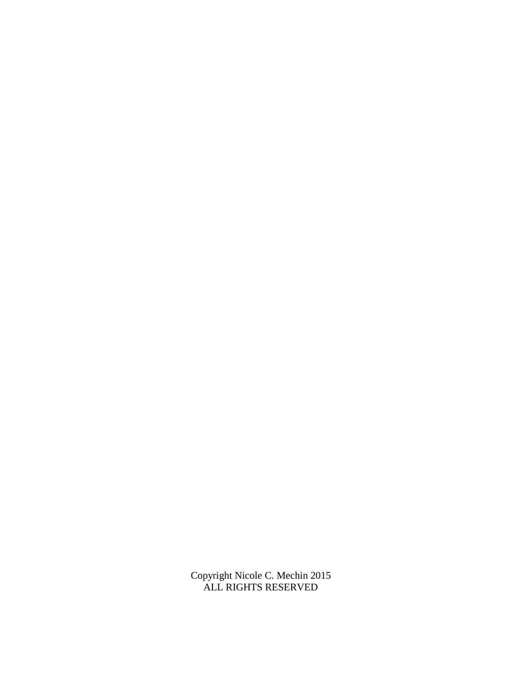Copyright Nicole C. Mechin 2015 ALL RIGHTS RESERVED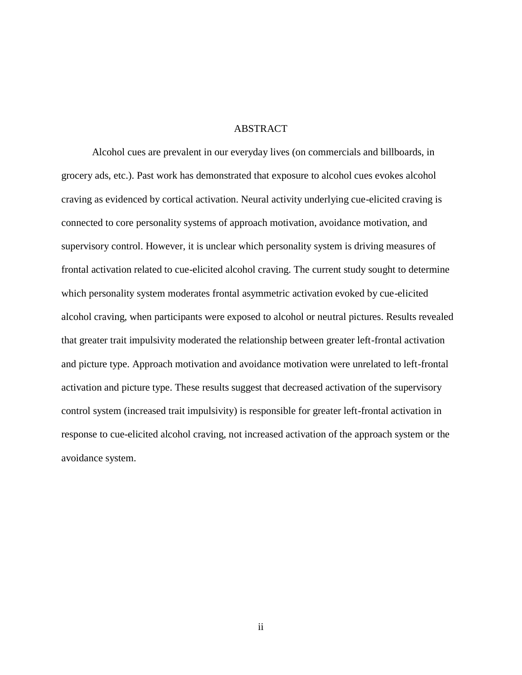#### ABSTRACT

Alcohol cues are prevalent in our everyday lives (on commercials and billboards, in grocery ads, etc.). Past work has demonstrated that exposure to alcohol cues evokes alcohol craving as evidenced by cortical activation. Neural activity underlying cue-elicited craving is connected to core personality systems of approach motivation, avoidance motivation, and supervisory control. However, it is unclear which personality system is driving measures of frontal activation related to cue-elicited alcohol craving. The current study sought to determine which personality system moderates frontal asymmetric activation evoked by cue-elicited alcohol craving, when participants were exposed to alcohol or neutral pictures. Results revealed that greater trait impulsivity moderated the relationship between greater left-frontal activation and picture type. Approach motivation and avoidance motivation were unrelated to left-frontal activation and picture type. These results suggest that decreased activation of the supervisory control system (increased trait impulsivity) is responsible for greater left-frontal activation in response to cue-elicited alcohol craving, not increased activation of the approach system or the avoidance system.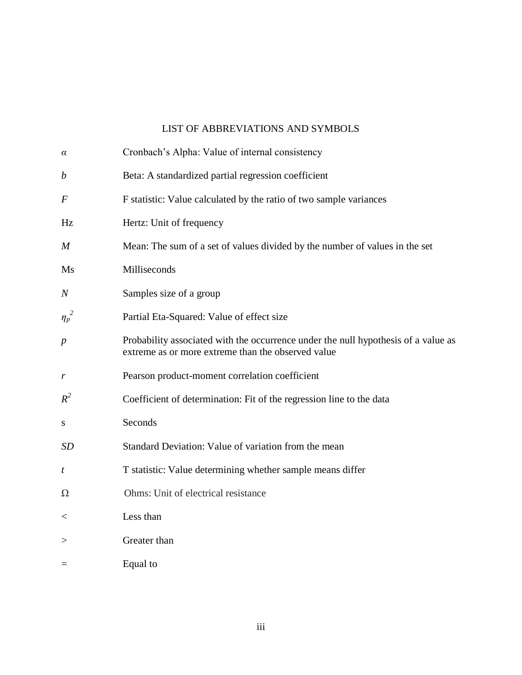# LIST OF ABBREVIATIONS AND SYMBOLS

| $\alpha$         | Cronbach's Alpha: Value of internal consistency                                                                                          |
|------------------|------------------------------------------------------------------------------------------------------------------------------------------|
| $\boldsymbol{b}$ | Beta: A standardized partial regression coefficient                                                                                      |
| $\,F$            | F statistic: Value calculated by the ratio of two sample variances                                                                       |
| Hz               | Hertz: Unit of frequency                                                                                                                 |
| M                | Mean: The sum of a set of values divided by the number of values in the set                                                              |
| Ms               | Milliseconds                                                                                                                             |
| $\it N$          | Samples size of a group                                                                                                                  |
| $\eta_p^2$       | Partial Eta-Squared: Value of effect size                                                                                                |
| $\boldsymbol{p}$ | Probability associated with the occurrence under the null hypothesis of a value as<br>extreme as or more extreme than the observed value |
| r                | Pearson product-moment correlation coefficient                                                                                           |
| $R^2$            | Coefficient of determination: Fit of the regression line to the data                                                                     |
| ${\bf S}$        | Seconds                                                                                                                                  |
| <b>SD</b>        | Standard Deviation: Value of variation from the mean                                                                                     |
| t                | T statistic: Value determining whether sample means differ                                                                               |
| Ω                | Ohms: Unit of electrical resistance                                                                                                      |
| $\,<\,$          | Less than                                                                                                                                |
| $\,>$            | Greater than                                                                                                                             |
| $=$              | Equal to                                                                                                                                 |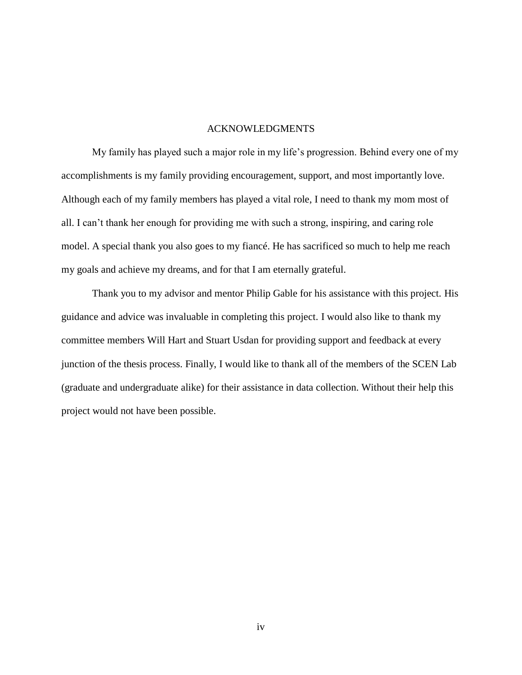#### ACKNOWLEDGMENTS

My family has played such a major role in my life"s progression. Behind every one of my accomplishments is my family providing encouragement, support, and most importantly love. Although each of my family members has played a vital role, I need to thank my mom most of all. I can"t thank her enough for providing me with such a strong, inspiring, and caring role model. A special thank you also goes to my fiancé. He has sacrificed so much to help me reach my goals and achieve my dreams, and for that I am eternally grateful.

Thank you to my advisor and mentor Philip Gable for his assistance with this project. His guidance and advice was invaluable in completing this project. I would also like to thank my committee members Will Hart and Stuart Usdan for providing support and feedback at every junction of the thesis process. Finally, I would like to thank all of the members of the SCEN Lab (graduate and undergraduate alike) for their assistance in data collection. Without their help this project would not have been possible.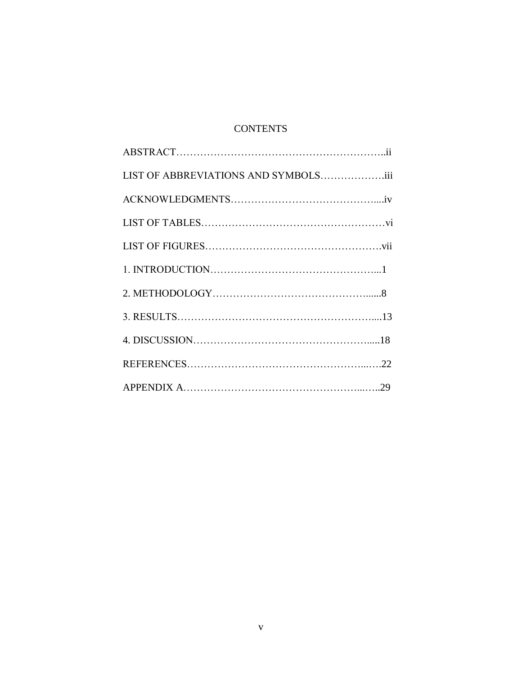# **CONTENTS**

| LIST OF ABBREVIATIONS AND SYMBOLSiii |  |
|--------------------------------------|--|
|                                      |  |
|                                      |  |
|                                      |  |
|                                      |  |
|                                      |  |
|                                      |  |
|                                      |  |
|                                      |  |
|                                      |  |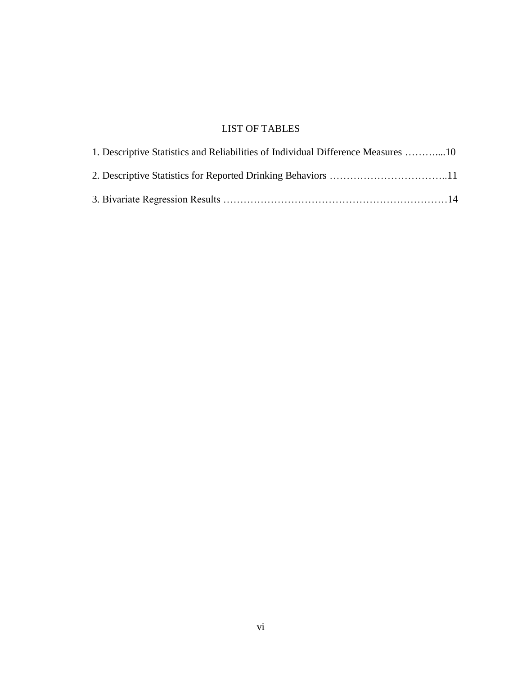# LIST OF TABLES

| 1. Descriptive Statistics and Reliabilities of Individual Difference Measures 10 |  |
|----------------------------------------------------------------------------------|--|
|                                                                                  |  |
|                                                                                  |  |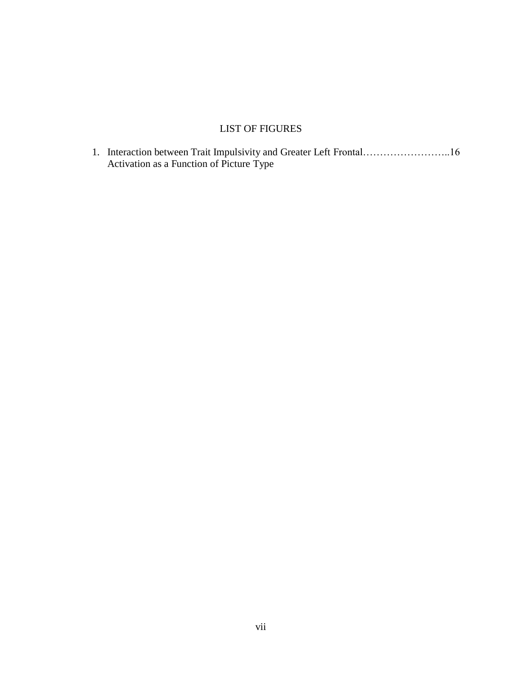# LIST OF FIGURES

1. Interaction between Trait Impulsivity and Greater Left Frontal……………………..16 Activation as a Function of Picture Type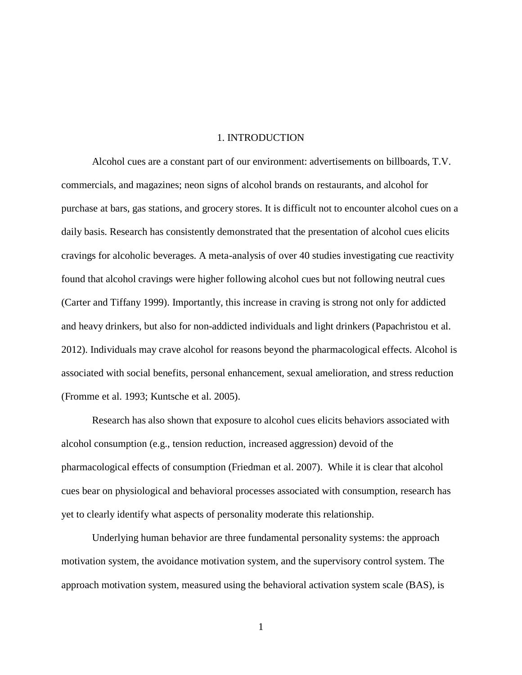#### 1. INTRODUCTION

Alcohol cues are a constant part of our environment: advertisements on billboards, T.V. commercials, and magazines; neon signs of alcohol brands on restaurants, and alcohol for purchase at bars, gas stations, and grocery stores. It is difficult not to encounter alcohol cues on a daily basis. Research has consistently demonstrated that the presentation of alcohol cues elicits cravings for alcoholic beverages. A meta-analysis of over 40 studies investigating cue reactivity found that alcohol cravings were higher following alcohol cues but not following neutral cues (Carter and Tiffany 1999). Importantly, this increase in craving is strong not only for addicted and heavy drinkers, but also for non-addicted individuals and light drinkers (Papachristou et al. 2012). Individuals may crave alcohol for reasons beyond the pharmacological effects. Alcohol is associated with social benefits, personal enhancement, sexual amelioration, and stress reduction (Fromme et al. 1993; Kuntsche et al. 2005).

Research has also shown that exposure to alcohol cues elicits behaviors associated with alcohol consumption (e.g., tension reduction, increased aggression) devoid of the pharmacological effects of consumption (Friedman et al. 2007). While it is clear that alcohol cues bear on physiological and behavioral processes associated with consumption, research has yet to clearly identify what aspects of personality moderate this relationship.

Underlying human behavior are three fundamental personality systems: the approach motivation system, the avoidance motivation system, and the supervisory control system. The approach motivation system, measured using the behavioral activation system scale (BAS), is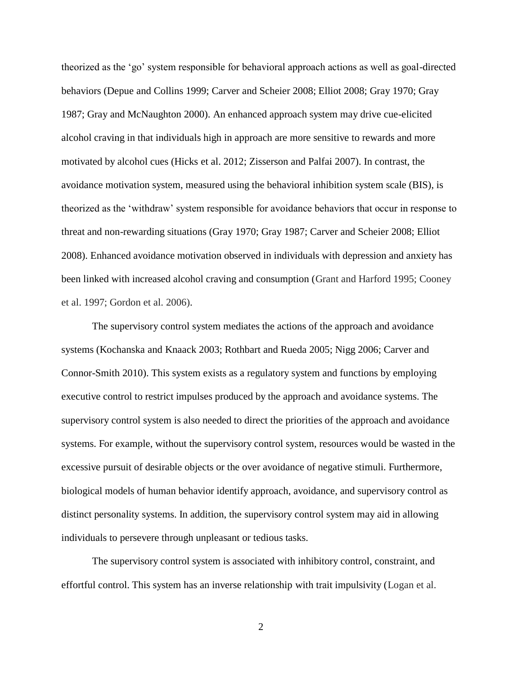theorized as the "go" system responsible for behavioral approach actions as well as goal-directed behaviors (Depue and Collins 1999; Carver and Scheier 2008; Elliot 2008; Gray 1970; Gray 1987; Gray and McNaughton 2000). An enhanced approach system may drive cue-elicited alcohol craving in that individuals high in approach are more sensitive to rewards and more motivated by alcohol cues (Hicks et al. 2012; Zisserson and Palfai 2007). In contrast, the avoidance motivation system, measured using the behavioral inhibition system scale (BIS), is theorized as the "withdraw" system responsible for avoidance behaviors that occur in response to threat and non-rewarding situations (Gray 1970; Gray 1987; Carver and Scheier 2008; Elliot 2008). Enhanced avoidance motivation observed in individuals with depression and anxiety has been linked with increased alcohol craving and consumption (Grant and Harford 1995; Cooney et al. 1997; Gordon et al. 2006).

The supervisory control system mediates the actions of the approach and avoidance systems (Kochanska and Knaack 2003; Rothbart and Rueda 2005; Nigg 2006; Carver and Connor-Smith 2010). This system exists as a regulatory system and functions by employing executive control to restrict impulses produced by the approach and avoidance systems. The supervisory control system is also needed to direct the priorities of the approach and avoidance systems. For example, without the supervisory control system, resources would be wasted in the excessive pursuit of desirable objects or the over avoidance of negative stimuli. Furthermore, biological models of human behavior identify approach, avoidance, and supervisory control as distinct personality systems. In addition, the supervisory control system may aid in allowing individuals to persevere through unpleasant or tedious tasks.

The supervisory control system is associated with inhibitory control, constraint, and effortful control. This system has an inverse relationship with trait impulsivity (Logan et al.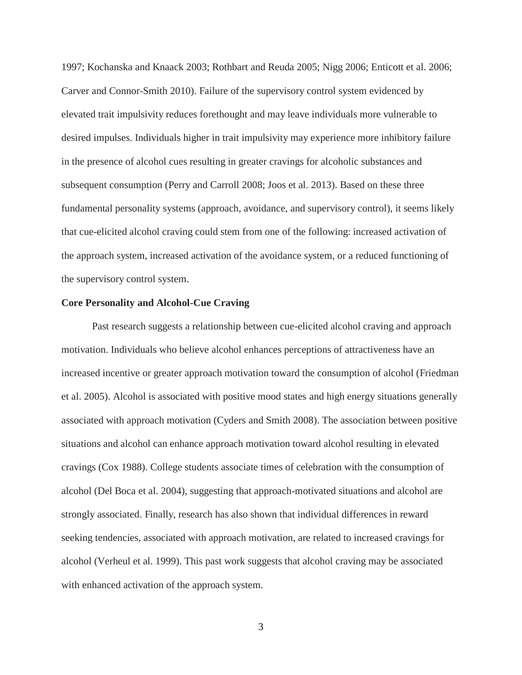1997; Kochanska and Knaack 2003; Rothbart and Reuda 2005; Nigg 2006; Enticott et al. 2006; Carver and Connor-Smith 2010). Failure of the supervisory control system evidenced by elevated trait impulsivity reduces forethought and may leave individuals more vulnerable to desired impulses. Individuals higher in trait impulsivity may experience more inhibitory failure in the presence of alcohol cues resulting in greater cravings for alcoholic substances and subsequent consumption (Perry and Carroll 2008; Joos et al. 2013). Based on these three fundamental personality systems (approach, avoidance, and supervisory control), it seems likely that cue-elicited alcohol craving could stem from one of the following: increased activation of the approach system, increased activation of the avoidance system, or a reduced functioning of the supervisory control system.

#### **Core Personality and Alcohol-Cue Craving**

Past research suggests a relationship between cue-elicited alcohol craving and approach motivation. Individuals who believe alcohol enhances perceptions of attractiveness have an increased incentive or greater approach motivation toward the consumption of alcohol (Friedman et al. 2005). Alcohol is associated with positive mood states and high energy situations generally associated with approach motivation (Cyders and Smith 2008). The association between positive situations and alcohol can enhance approach motivation toward alcohol resulting in elevated cravings (Cox 1988). College students associate times of celebration with the consumption of alcohol (Del Boca et al. 2004), suggesting that approach-motivated situations and alcohol are strongly associated. Finally, research has also shown that individual differences in reward seeking tendencies, associated with approach motivation, are related to increased cravings for alcohol (Verheul et al. 1999). This past work suggests that alcohol craving may be associated with enhanced activation of the approach system.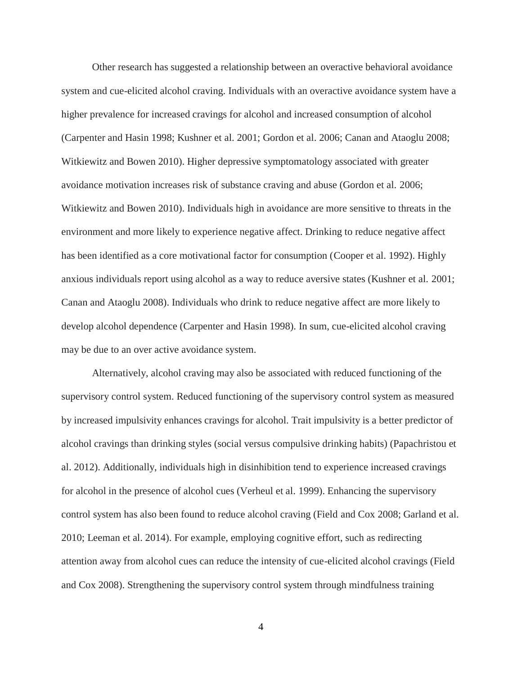Other research has suggested a relationship between an overactive behavioral avoidance system and cue-elicited alcohol craving. Individuals with an overactive avoidance system have a higher prevalence for increased cravings for alcohol and increased consumption of alcohol (Carpenter and Hasin 1998; Kushner et al. 2001; Gordon et al. 2006; Canan and Ataoglu 2008; Witkiewitz and Bowen 2010). Higher depressive symptomatology associated with greater avoidance motivation increases risk of substance craving and abuse (Gordon et al. 2006; Witkiewitz and Bowen 2010). Individuals high in avoidance are more sensitive to threats in the environment and more likely to experience negative affect. Drinking to reduce negative affect has been identified as a core motivational factor for consumption (Cooper et al. 1992). Highly anxious individuals report using alcohol as a way to reduce aversive states (Kushner et al. 2001; Canan and Ataoglu 2008). Individuals who drink to reduce negative affect are more likely to develop alcohol dependence (Carpenter and Hasin 1998). In sum, cue-elicited alcohol craving may be due to an over active avoidance system.

Alternatively, alcohol craving may also be associated with reduced functioning of the supervisory control system. Reduced functioning of the supervisory control system as measured by increased impulsivity enhances cravings for alcohol. Trait impulsivity is a better predictor of alcohol cravings than drinking styles (social versus compulsive drinking habits) (Papachristou et al. 2012). Additionally, individuals high in disinhibition tend to experience increased cravings for alcohol in the presence of alcohol cues (Verheul et al. 1999). Enhancing the supervisory control system has also been found to reduce alcohol craving (Field and Cox 2008; Garland et al. 2010; Leeman et al. 2014). For example, employing cognitive effort, such as redirecting attention away from alcohol cues can reduce the intensity of cue-elicited alcohol cravings (Field and Cox 2008). Strengthening the supervisory control system through mindfulness training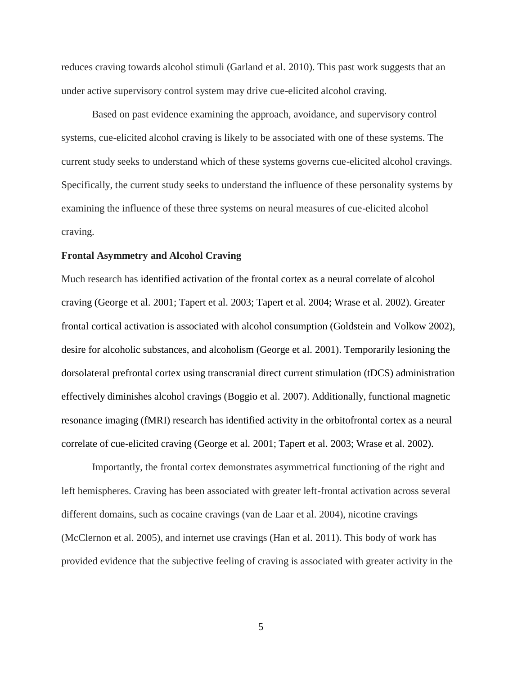reduces craving towards alcohol stimuli (Garland et al. 2010). This past work suggests that an under active supervisory control system may drive cue-elicited alcohol craving.

Based on past evidence examining the approach, avoidance, and supervisory control systems, cue-elicited alcohol craving is likely to be associated with one of these systems. The current study seeks to understand which of these systems governs cue-elicited alcohol cravings. Specifically, the current study seeks to understand the influence of these personality systems by examining the influence of these three systems on neural measures of cue-elicited alcohol craving.

#### **Frontal Asymmetry and Alcohol Craving**

Much research has identified activation of the frontal cortex as a neural correlate of alcohol craving (George et al. 2001; Tapert et al. 2003; Tapert et al. 2004; Wrase et al. 2002). Greater frontal cortical activation is associated with alcohol consumption (Goldstein and Volkow 2002), desire for alcoholic substances, and alcoholism (George et al. 2001). Temporarily lesioning the dorsolateral prefrontal cortex using transcranial direct current stimulation (tDCS) administration effectively diminishes alcohol cravings (Boggio et al. 2007). Additionally, functional magnetic resonance imaging (fMRI) research has identified activity in the orbitofrontal cortex as a neural correlate of cue-elicited craving (George et al. 2001; Tapert et al. 2003; Wrase et al. 2002).

Importantly, the frontal cortex demonstrates asymmetrical functioning of the right and left hemispheres. Craving has been associated with greater left-frontal activation across several different domains, such as cocaine cravings (van de Laar et al. 2004), nicotine cravings (McClernon et al. 2005), and internet use cravings (Han et al. 2011). This body of work has provided evidence that the subjective feeling of craving is associated with greater activity in the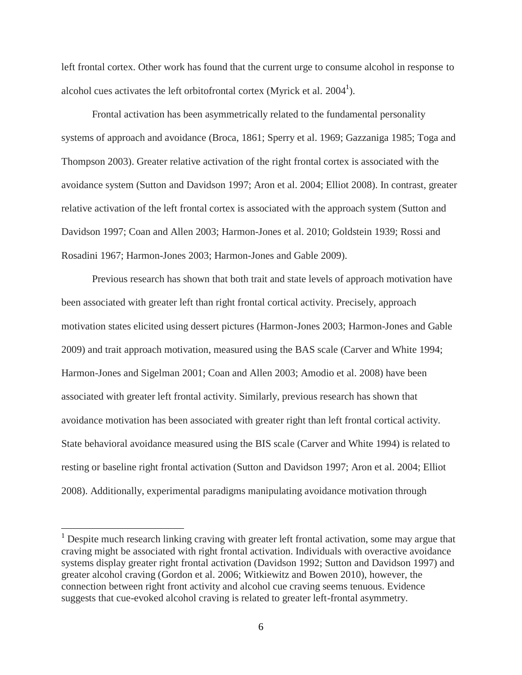left frontal cortex. Other work has found that the current urge to consume alcohol in response to alcohol cues activates the left orbitofrontal cortex (Myrick et al.  $2004<sup>1</sup>$ ).

Frontal activation has been asymmetrically related to the fundamental personality systems of approach and avoidance (Broca, 1861; Sperry et al. 1969; Gazzaniga 1985; Toga and Thompson 2003). Greater relative activation of the right frontal cortex is associated with the avoidance system (Sutton and Davidson 1997; Aron et al. 2004; Elliot 2008). In contrast, greater relative activation of the left frontal cortex is associated with the approach system (Sutton and Davidson 1997; Coan and Allen 2003; Harmon-Jones et al. 2010; Goldstein 1939; Rossi and Rosadini 1967; Harmon-Jones 2003; Harmon-Jones and Gable 2009).

Previous research has shown that both trait and state levels of approach motivation have been associated with greater left than right frontal cortical activity. Precisely, approach motivation states elicited using dessert pictures (Harmon-Jones 2003; Harmon-Jones and Gable 2009) and trait approach motivation, measured using the BAS scale (Carver and White 1994; Harmon-Jones and Sigelman 2001; Coan and Allen 2003; Amodio et al. 2008) have been associated with greater left frontal activity. Similarly, previous research has shown that avoidance motivation has been associated with greater right than left frontal cortical activity. State behavioral avoidance measured using the BIS scale (Carver and White 1994) is related to resting or baseline right frontal activation (Sutton and Davidson 1997; Aron et al. 2004; Elliot 2008). Additionally, experimental paradigms manipulating avoidance motivation through

 $\overline{a}$ 

<sup>&</sup>lt;sup>1</sup> Despite much research linking craving with greater left frontal activation, some may argue that craving might be associated with right frontal activation. Individuals with overactive avoidance systems display greater right frontal activation (Davidson 1992; Sutton and Davidson 1997) and greater alcohol craving (Gordon et al. 2006; Witkiewitz and Bowen 2010), however, the connection between right front activity and alcohol cue craving seems tenuous. Evidence suggests that cue-evoked alcohol craving is related to greater left-frontal asymmetry.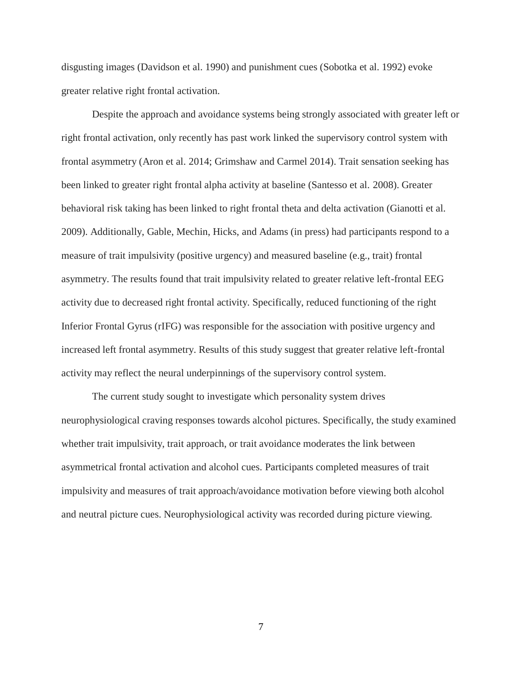disgusting images (Davidson et al. 1990) and punishment cues (Sobotka et al. 1992) evoke greater relative right frontal activation.

Despite the approach and avoidance systems being strongly associated with greater left or right frontal activation, only recently has past work linked the supervisory control system with frontal asymmetry (Aron et al. 2014; Grimshaw and Carmel 2014). Trait sensation seeking has been linked to greater right frontal alpha activity at baseline (Santesso et al. 2008). Greater behavioral risk taking has been linked to right frontal theta and delta activation (Gianotti et al. 2009). Additionally, Gable, Mechin, Hicks, and Adams (in press) had participants respond to a measure of trait impulsivity (positive urgency) and measured baseline (e.g., trait) frontal asymmetry. The results found that trait impulsivity related to greater relative left-frontal EEG activity due to decreased right frontal activity. Specifically, reduced functioning of the right Inferior Frontal Gyrus (rIFG) was responsible for the association with positive urgency and increased left frontal asymmetry. Results of this study suggest that greater relative left-frontal activity may reflect the neural underpinnings of the supervisory control system.

The current study sought to investigate which personality system drives neurophysiological craving responses towards alcohol pictures. Specifically, the study examined whether trait impulsivity, trait approach, or trait avoidance moderates the link between asymmetrical frontal activation and alcohol cues. Participants completed measures of trait impulsivity and measures of trait approach/avoidance motivation before viewing both alcohol and neutral picture cues. Neurophysiological activity was recorded during picture viewing.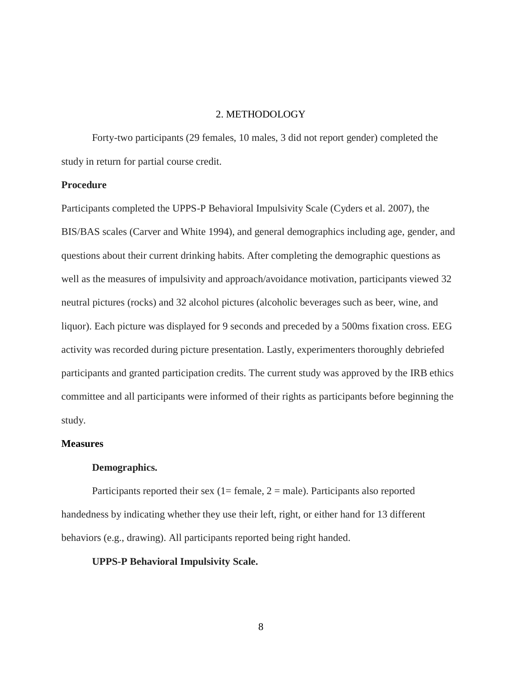## 2. METHODOLOGY

Forty-two participants (29 females, 10 males, 3 did not report gender) completed the study in return for partial course credit.

#### **Procedure**

Participants completed the UPPS-P Behavioral Impulsivity Scale (Cyders et al. 2007), the BIS/BAS scales (Carver and White 1994), and general demographics including age, gender, and questions about their current drinking habits. After completing the demographic questions as well as the measures of impulsivity and approach/avoidance motivation, participants viewed 32 neutral pictures (rocks) and 32 alcohol pictures (alcoholic beverages such as beer, wine, and liquor). Each picture was displayed for 9 seconds and preceded by a 500ms fixation cross. EEG activity was recorded during picture presentation. Lastly, experimenters thoroughly debriefed participants and granted participation credits. The current study was approved by the IRB ethics committee and all participants were informed of their rights as participants before beginning the study.

#### **Measures**

#### **Demographics.**

Participants reported their sex (1= female,  $2 =$  male). Participants also reported handedness by indicating whether they use their left, right, or either hand for 13 different behaviors (e.g., drawing). All participants reported being right handed.

#### **UPPS-P Behavioral Impulsivity Scale.**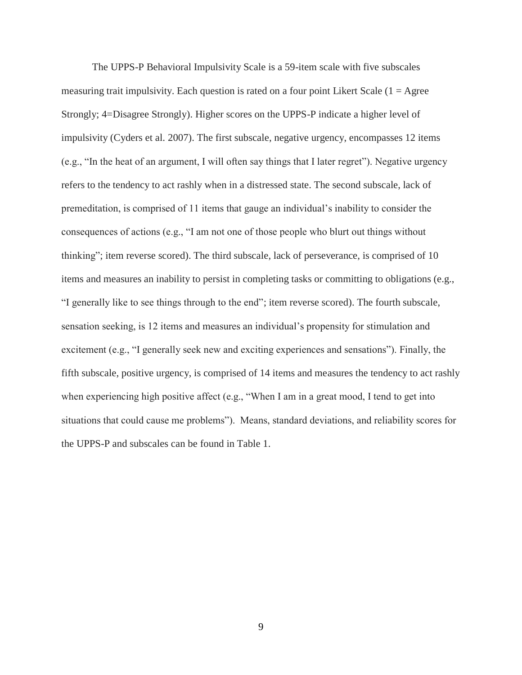The UPPS-P Behavioral Impulsivity Scale is a 59-item scale with five subscales measuring trait impulsivity. Each question is rated on a four point Likert Scale  $(1 = \text{Agree})$ Strongly; 4=Disagree Strongly). Higher scores on the UPPS-P indicate a higher level of impulsivity (Cyders et al. 2007). The first subscale, negative urgency, encompasses 12 items (e.g., "In the heat of an argument, I will often say things that I later regret"). Negative urgency refers to the tendency to act rashly when in a distressed state. The second subscale, lack of premeditation, is comprised of 11 items that gauge an individual"s inability to consider the consequences of actions (e.g., "I am not one of those people who blurt out things without thinking"; item reverse scored). The third subscale, lack of perseverance, is comprised of 10 items and measures an inability to persist in completing tasks or committing to obligations (e.g., "I generally like to see things through to the end"; item reverse scored). The fourth subscale, sensation seeking, is 12 items and measures an individual"s propensity for stimulation and excitement (e.g., "I generally seek new and exciting experiences and sensations"). Finally, the fifth subscale, positive urgency, is comprised of 14 items and measures the tendency to act rashly when experiencing high positive affect (e.g., "When I am in a great mood, I tend to get into situations that could cause me problems"). Means, standard deviations, and reliability scores for the UPPS-P and subscales can be found in Table 1.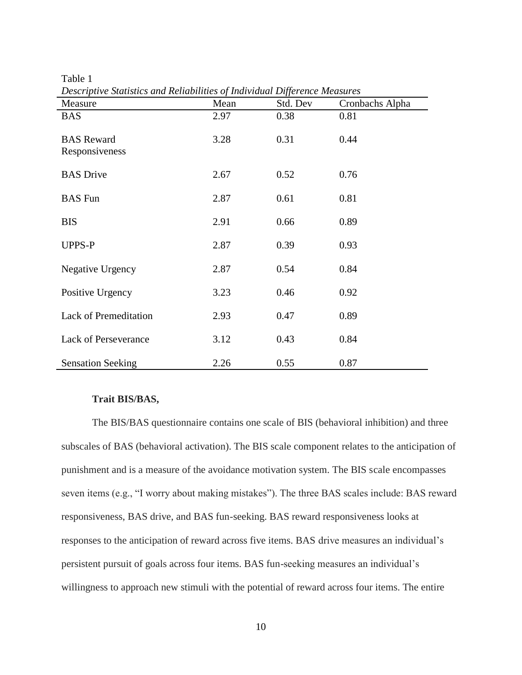Table 1

| Measure                             | Mean | Std. Dev | Cronbachs Alpha |
|-------------------------------------|------|----------|-----------------|
| <b>BAS</b>                          | 2.97 | 0.38     | 0.81            |
| <b>BAS</b> Reward<br>Responsiveness | 3.28 | 0.31     | 0.44            |
| <b>BAS</b> Drive                    | 2.67 | 0.52     | 0.76            |
| <b>BAS</b> Fun                      | 2.87 | 0.61     | 0.81            |
| <b>BIS</b>                          | 2.91 | 0.66     | 0.89            |
| <b>UPPS-P</b>                       | 2.87 | 0.39     | 0.93            |
| Negative Urgency                    | 2.87 | 0.54     | 0.84            |
| Positive Urgency                    | 3.23 | 0.46     | 0.92            |
| Lack of Premeditation               | 2.93 | 0.47     | 0.89            |
| <b>Lack of Perseverance</b>         | 3.12 | 0.43     | 0.84            |
| <b>Sensation Seeking</b>            | 2.26 | 0.55     | 0.87            |

# **Trait BIS/BAS,**

The BIS/BAS questionnaire contains one scale of BIS (behavioral inhibition) and three subscales of BAS (behavioral activation). The BIS scale component relates to the anticipation of punishment and is a measure of the avoidance motivation system. The BIS scale encompasses seven items (e.g., "I worry about making mistakes"). The three BAS scales include: BAS reward responsiveness, BAS drive, and BAS fun-seeking. BAS reward responsiveness looks at responses to the anticipation of reward across five items. BAS drive measures an individual"s persistent pursuit of goals across four items. BAS fun-seeking measures an individual"s willingness to approach new stimuli with the potential of reward across four items. The entire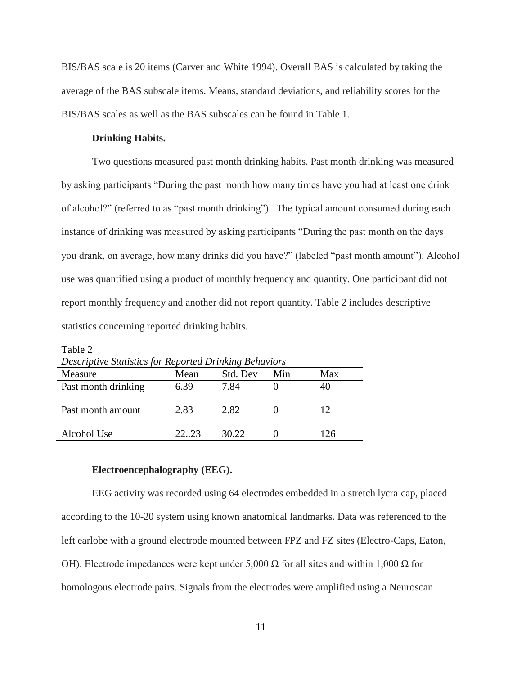BIS/BAS scale is 20 items (Carver and White 1994). Overall BAS is calculated by taking the average of the BAS subscale items. Means, standard deviations, and reliability scores for the BIS/BAS scales as well as the BAS subscales can be found in Table 1.

#### **Drinking Habits.**

Table 2

Two questions measured past month drinking habits. Past month drinking was measured by asking participants "During the past month how many times have you had at least one drink of alcohol?" (referred to as "past month drinking"). The typical amount consumed during each instance of drinking was measured by asking participants "During the past month on the days you drank, on average, how many drinks did you have?" (labeled "past month amount"). Alcohol use was quantified using a product of monthly frequency and quantity. One participant did not report monthly frequency and another did not report quantity. Table 2 includes descriptive statistics concerning reported drinking habits.

| Descriptive Statistics for Reported Drinking Behaviors |       |          |     |     |  |  |
|--------------------------------------------------------|-------|----------|-----|-----|--|--|
| Measure                                                | Mean  | Std. Dev | Min | Max |  |  |
| Past month drinking                                    | 6.39  | 7.84     |     | 40  |  |  |
|                                                        |       |          |     |     |  |  |
| Past month amount                                      | 2.83  | 2.82     |     | 12  |  |  |
|                                                        |       |          |     |     |  |  |
| Alcohol Use                                            | 22.23 | 30.22    |     | 126 |  |  |

#### **Electroencephalography (EEG).**

EEG activity was recorded using 64 electrodes embedded in a stretch lycra cap, placed according to the 10-20 system using known anatomical landmarks. Data was referenced to the left earlobe with a ground electrode mounted between FPZ and FZ sites (Electro-Caps, Eaton, OH). Electrode impedances were kept under 5,000 Ω for all sites and within 1,000 Ω for homologous electrode pairs. Signals from the electrodes were amplified using a Neuroscan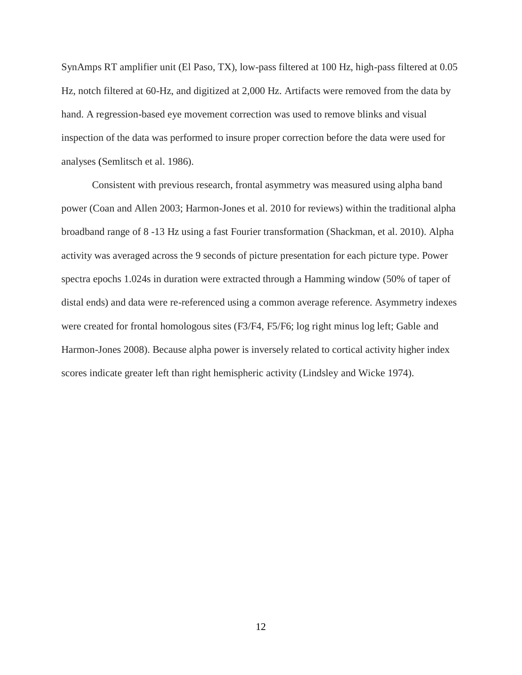SynAmps RT amplifier unit (El Paso, TX), low-pass filtered at 100 Hz, high-pass filtered at 0.05 Hz, notch filtered at 60-Hz, and digitized at 2,000 Hz. Artifacts were removed from the data by hand. A regression-based eye movement correction was used to remove blinks and visual inspection of the data was performed to insure proper correction before the data were used for analyses (Semlitsch et al. 1986).

Consistent with previous research, frontal asymmetry was measured using alpha band power (Coan and Allen 2003; Harmon-Jones et al. 2010 for reviews) within the traditional alpha broadband range of 8 -13 Hz using a fast Fourier transformation (Shackman, et al. 2010). Alpha activity was averaged across the 9 seconds of picture presentation for each picture type. Power spectra epochs 1.024s in duration were extracted through a Hamming window (50% of taper of distal ends) and data were re-referenced using a common average reference. Asymmetry indexes were created for frontal homologous sites (F3/F4, F5/F6; log right minus log left; Gable and Harmon-Jones 2008). Because alpha power is inversely related to cortical activity higher index scores indicate greater left than right hemispheric activity (Lindsley and Wicke 1974).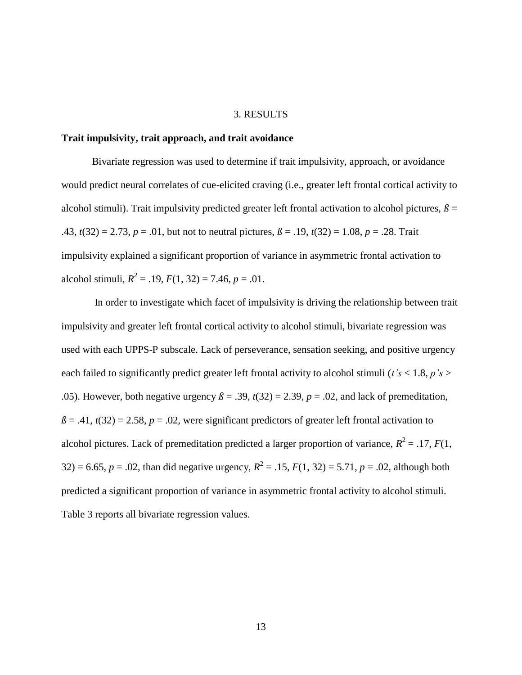#### 3. RESULTS

#### **Trait impulsivity, trait approach, and trait avoidance**

Bivariate regression was used to determine if trait impulsivity, approach, or avoidance would predict neural correlates of cue-elicited craving (i.e., greater left frontal cortical activity to alcohol stimuli). Trait impulsivity predicted greater left frontal activation to alcohol pictures,  $\beta$  = .43,  $t(32) = 2.73$ ,  $p = .01$ , but not to neutral pictures,  $\beta = .19$ ,  $t(32) = 1.08$ ,  $p = .28$ . Trait impulsivity explained a significant proportion of variance in asymmetric frontal activation to alcohol stimuli,  $R^2 = .19$ ,  $F(1, 32) = 7.46$ ,  $p = .01$ .

In order to investigate which facet of impulsivity is driving the relationship between trait impulsivity and greater left frontal cortical activity to alcohol stimuli, bivariate regression was used with each UPPS-P subscale. Lack of perseverance, sensation seeking, and positive urgency each failed to significantly predict greater left frontal activity to alcohol stimuli (*t's* < 1.8, *p's* > .05). However, both negative urgency  $\beta = .39$ ,  $t(32) = 2.39$ ,  $p = .02$ , and lack of premeditation,  $\beta$  = .41, *t*(32) = 2.58, *p* = .02, were significant predictors of greater left frontal activation to alcohol pictures. Lack of premeditation predicted a larger proportion of variance,  $R^2 = .17$ ,  $F(1)$ , 32) = 6.65,  $p = .02$ , than did negative urgency,  $R^2 = .15$ ,  $F(1, 32) = 5.71$ ,  $p = .02$ , although both predicted a significant proportion of variance in asymmetric frontal activity to alcohol stimuli. Table 3 reports all bivariate regression values.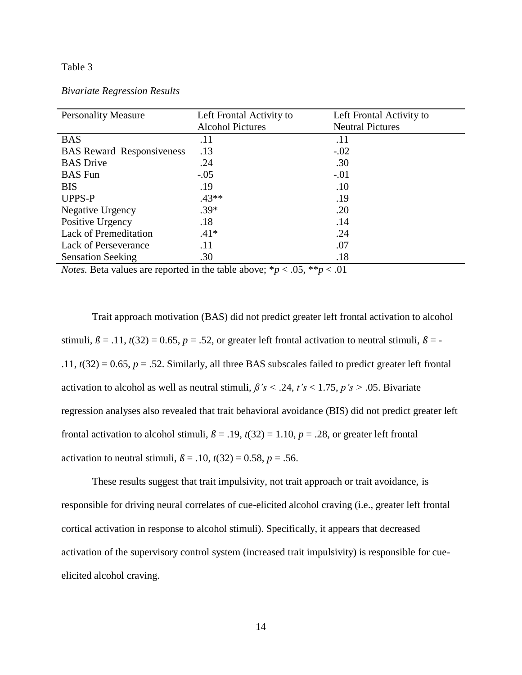#### Table 3

| <b>Personality Measure</b>       | Left Frontal Activity to | Left Frontal Activity to |
|----------------------------------|--------------------------|--------------------------|
|                                  | <b>Alcohol Pictures</b>  | <b>Neutral Pictures</b>  |
| <b>BAS</b>                       | .11                      | .11                      |
| <b>BAS</b> Reward Responsiveness | .13                      | $-.02$                   |
| <b>BAS</b> Drive                 | .24                      | .30                      |
| <b>BAS</b> Fun                   | $-.05$                   | $-.01$                   |
| <b>BIS</b>                       | .19                      | .10                      |
| <b>UPPS-P</b>                    | $.43**$                  | .19                      |
| Negative Urgency                 | $.39*$                   | .20                      |
| Positive Urgency                 | .18                      | .14                      |
| <b>Lack of Premeditation</b>     | $.41*$                   | .24                      |
| <b>Lack of Perseverance</b>      | .11                      | .07                      |
| <b>Sensation Seeking</b>         | .30                      | .18                      |

*Notes.* Beta values are reported in the table above;  ${}^*p < .05$ ,  ${}^*p < .01$ 

Trait approach motivation (BAS) did not predict greater left frontal activation to alcohol stimuli,  $\beta = .11$ ,  $t(32) = 0.65$ ,  $p = .52$ , or greater left frontal activation to neutral stimuli,  $\beta = -$ .11,  $t(32) = 0.65$ ,  $p = .52$ . Similarly, all three BAS subscales failed to predict greater left frontal activation to alcohol as well as neutral stimuli,  $\beta$ 's < .24, *t*'s < 1.75, *p*'s > .05. Bivariate regression analyses also revealed that trait behavioral avoidance (BIS) did not predict greater left frontal activation to alcohol stimuli,  $\beta = .19$ ,  $t(32) = 1.10$ ,  $p = .28$ , or greater left frontal activation to neutral stimuli,  $\beta$  = .10,  $t(32)$  = 0.58,  $p$  = .56.

These results suggest that trait impulsivity, not trait approach or trait avoidance, is responsible for driving neural correlates of cue-elicited alcohol craving (i.e., greater left frontal cortical activation in response to alcohol stimuli). Specifically, it appears that decreased activation of the supervisory control system (increased trait impulsivity) is responsible for cueelicited alcohol craving.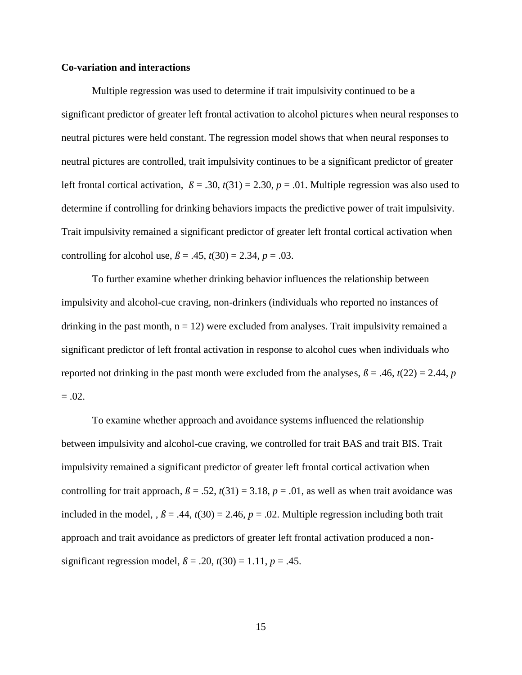#### **Co-variation and interactions**

Multiple regression was used to determine if trait impulsivity continued to be a significant predictor of greater left frontal activation to alcohol pictures when neural responses to neutral pictures were held constant. The regression model shows that when neural responses to neutral pictures are controlled, trait impulsivity continues to be a significant predictor of greater left frontal cortical activation,  $\beta = .30$ ,  $t(31) = 2.30$ ,  $p = .01$ . Multiple regression was also used to determine if controlling for drinking behaviors impacts the predictive power of trait impulsivity. Trait impulsivity remained a significant predictor of greater left frontal cortical activation when controlling for alcohol use,  $\beta = .45$ ,  $t(30) = 2.34$ ,  $p = .03$ .

To further examine whether drinking behavior influences the relationship between impulsivity and alcohol-cue craving, non-drinkers (individuals who reported no instances of drinking in the past month,  $n = 12$ ) were excluded from analyses. Trait impulsivity remained a significant predictor of left frontal activation in response to alcohol cues when individuals who reported not drinking in the past month were excluded from the analyses,  $\beta = .46$ ,  $t(22) = 2.44$ , *p*  $=.02.$ 

To examine whether approach and avoidance systems influenced the relationship between impulsivity and alcohol-cue craving, we controlled for trait BAS and trait BIS. Trait impulsivity remained a significant predictor of greater left frontal cortical activation when controlling for trait approach,  $\beta = .52$ ,  $t(31) = 3.18$ ,  $p = .01$ , as well as when trait avoidance was included in the model,  $, \beta = .44, t(30) = 2.46, p = .02$ . Multiple regression including both trait approach and trait avoidance as predictors of greater left frontal activation produced a nonsignificant regression model,  $\beta$  = .20,  $t(30)$  = 1.11,  $p$  = .45.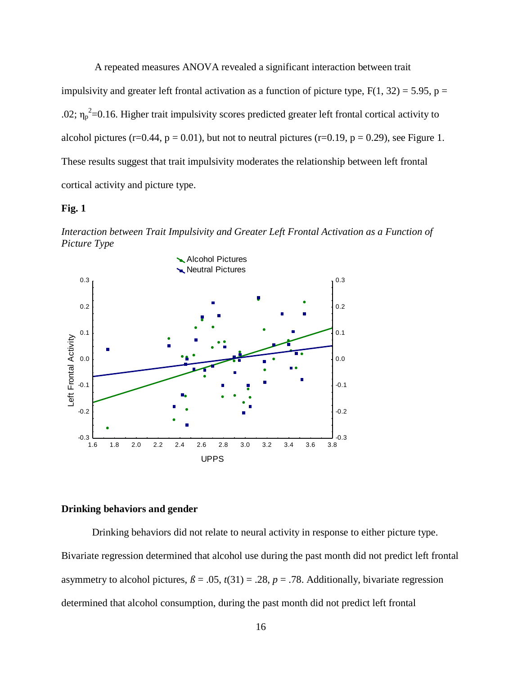A repeated measures ANOVA revealed a significant interaction between trait impulsivity and greater left frontal activation as a function of picture type,  $F(1, 32) = 5.95$ ,  $p =$ .02;  $\eta_p^2$ =0.16. Higher trait impulsivity scores predicted greater left frontal cortical activity to alcohol pictures (r=0.44, p = 0.01), but not to neutral pictures (r=0.19, p = 0.29), see Figure 1. These results suggest that trait impulsivity moderates the relationship between left frontal cortical activity and picture type.

#### **Fig. 1**

*Interaction between Trait Impulsivity and Greater Left Frontal Activation as a Function of Picture Type*



#### **Drinking behaviors and gender**

Drinking behaviors did not relate to neural activity in response to either picture type. Bivariate regression determined that alcohol use during the past month did not predict left frontal asymmetry to alcohol pictures,  $\beta$  = .05,  $t(31)$  = .28,  $p$  = .78. Additionally, bivariate regression determined that alcohol consumption, during the past month did not predict left frontal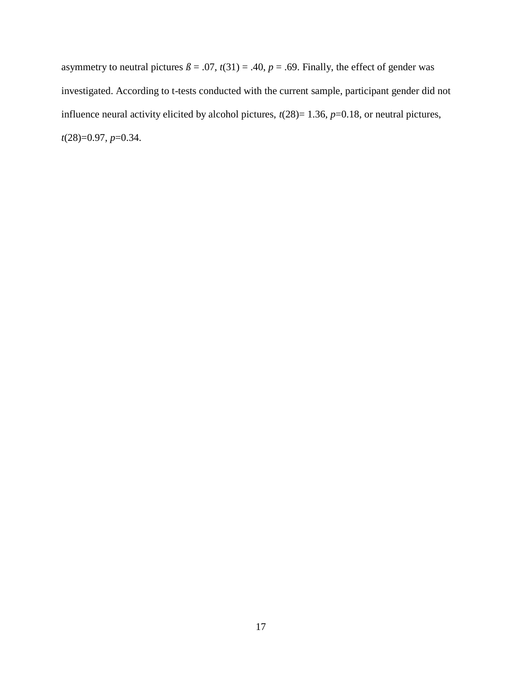asymmetry to neutral pictures  $\beta = .07$ ,  $t(31) = .40$ ,  $p = .69$ . Finally, the effect of gender was investigated. According to t-tests conducted with the current sample, participant gender did not influence neural activity elicited by alcohol pictures,  $t(28)=1.36$ ,  $p=0.18$ , or neutral pictures, *t*(28)=0.97, *p*=0.34.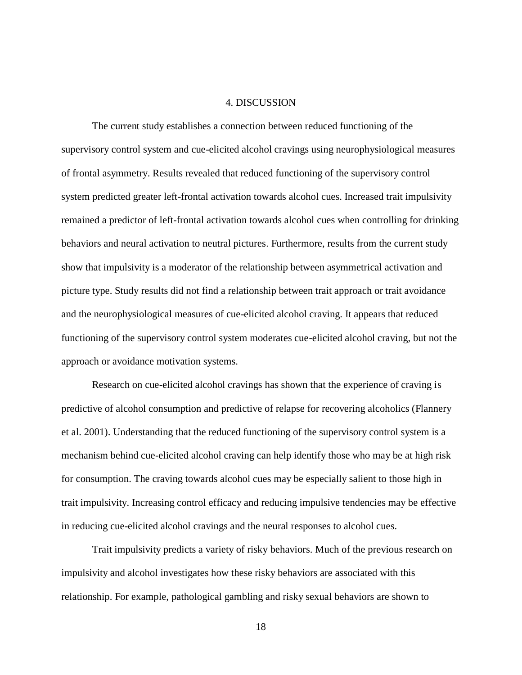#### 4. DISCUSSION

The current study establishes a connection between reduced functioning of the supervisory control system and cue-elicited alcohol cravings using neurophysiological measures of frontal asymmetry. Results revealed that reduced functioning of the supervisory control system predicted greater left-frontal activation towards alcohol cues. Increased trait impulsivity remained a predictor of left-frontal activation towards alcohol cues when controlling for drinking behaviors and neural activation to neutral pictures. Furthermore, results from the current study show that impulsivity is a moderator of the relationship between asymmetrical activation and picture type. Study results did not find a relationship between trait approach or trait avoidance and the neurophysiological measures of cue-elicited alcohol craving. It appears that reduced functioning of the supervisory control system moderates cue-elicited alcohol craving, but not the approach or avoidance motivation systems.

Research on cue-elicited alcohol cravings has shown that the experience of craving is predictive of alcohol consumption and predictive of relapse for recovering alcoholics (Flannery et al. 2001). Understanding that the reduced functioning of the supervisory control system is a mechanism behind cue-elicited alcohol craving can help identify those who may be at high risk for consumption. The craving towards alcohol cues may be especially salient to those high in trait impulsivity. Increasing control efficacy and reducing impulsive tendencies may be effective in reducing cue-elicited alcohol cravings and the neural responses to alcohol cues.

Trait impulsivity predicts a variety of risky behaviors. Much of the previous research on impulsivity and alcohol investigates how these risky behaviors are associated with this relationship. For example, pathological gambling and risky sexual behaviors are shown to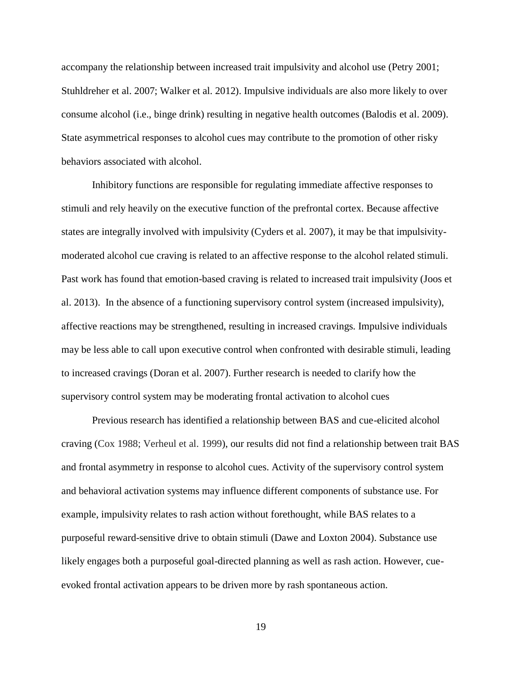accompany the relationship between increased trait impulsivity and alcohol use (Petry 2001; Stuhldreher et al. 2007; Walker et al. 2012). Impulsive individuals are also more likely to over consume alcohol (i.e., binge drink) resulting in negative health outcomes (Balodis et al. 2009). State asymmetrical responses to alcohol cues may contribute to the promotion of other risky behaviors associated with alcohol.

Inhibitory functions are responsible for regulating immediate affective responses to stimuli and rely heavily on the executive function of the prefrontal cortex. Because affective states are integrally involved with impulsivity (Cyders et al. 2007), it may be that impulsivitymoderated alcohol cue craving is related to an affective response to the alcohol related stimuli. Past work has found that emotion-based craving is related to increased trait impulsivity (Joos et al. 2013). In the absence of a functioning supervisory control system (increased impulsivity), affective reactions may be strengthened, resulting in increased cravings. Impulsive individuals may be less able to call upon executive control when confronted with desirable stimuli, leading to increased cravings (Doran et al. 2007). Further research is needed to clarify how the supervisory control system may be moderating frontal activation to alcohol cues

Previous research has identified a relationship between BAS and cue-elicited alcohol craving (Cox 1988; Verheul et al. 1999), our results did not find a relationship between trait BAS and frontal asymmetry in response to alcohol cues. Activity of the supervisory control system and behavioral activation systems may influence different components of substance use. For example, impulsivity relates to rash action without forethought, while BAS relates to a purposeful reward-sensitive drive to obtain stimuli (Dawe and Loxton 2004). Substance use likely engages both a purposeful goal-directed planning as well as rash action. However, cueevoked frontal activation appears to be driven more by rash spontaneous action.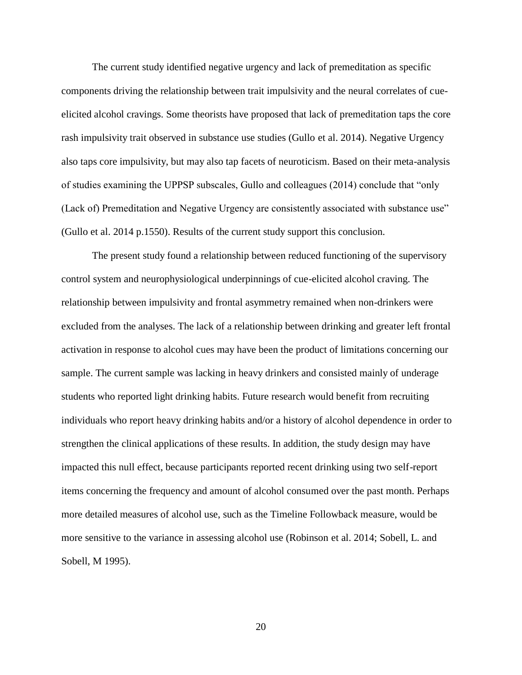The current study identified negative urgency and lack of premeditation as specific components driving the relationship between trait impulsivity and the neural correlates of cueelicited alcohol cravings. Some theorists have proposed that lack of premeditation taps the core rash impulsivity trait observed in substance use studies (Gullo et al. 2014). Negative Urgency also taps core impulsivity, but may also tap facets of neuroticism. Based on their meta-analysis of studies examining the UPPSP subscales, Gullo and colleagues (2014) conclude that "only (Lack of) Premeditation and Negative Urgency are consistently associated with substance use" (Gullo et al. 2014 p.1550). Results of the current study support this conclusion.

The present study found a relationship between reduced functioning of the supervisory control system and neurophysiological underpinnings of cue-elicited alcohol craving. The relationship between impulsivity and frontal asymmetry remained when non-drinkers were excluded from the analyses. The lack of a relationship between drinking and greater left frontal activation in response to alcohol cues may have been the product of limitations concerning our sample. The current sample was lacking in heavy drinkers and consisted mainly of underage students who reported light drinking habits. Future research would benefit from recruiting individuals who report heavy drinking habits and/or a history of alcohol dependence in order to strengthen the clinical applications of these results. In addition, the study design may have impacted this null effect, because participants reported recent drinking using two self-report items concerning the frequency and amount of alcohol consumed over the past month. Perhaps more detailed measures of alcohol use, such as the Timeline Followback measure, would be more sensitive to the variance in assessing alcohol use (Robinson et al. 2014; Sobell, L. and Sobell, M 1995).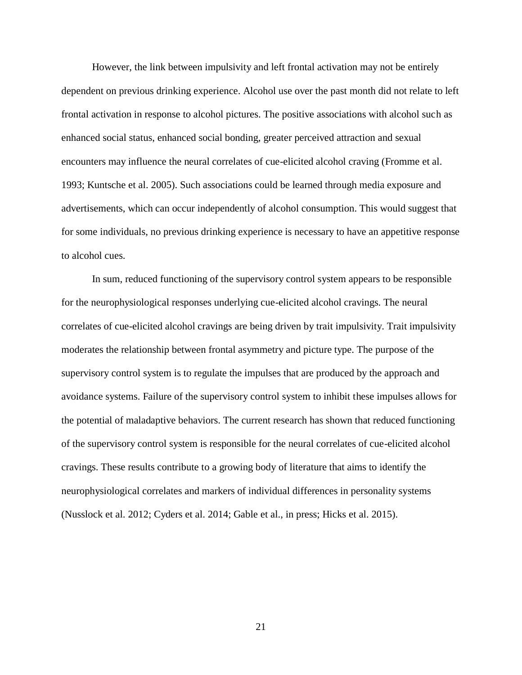However, the link between impulsivity and left frontal activation may not be entirely dependent on previous drinking experience. Alcohol use over the past month did not relate to left frontal activation in response to alcohol pictures. The positive associations with alcohol such as enhanced social status, enhanced social bonding, greater perceived attraction and sexual encounters may influence the neural correlates of cue-elicited alcohol craving (Fromme et al. 1993; Kuntsche et al. 2005). Such associations could be learned through media exposure and advertisements, which can occur independently of alcohol consumption. This would suggest that for some individuals, no previous drinking experience is necessary to have an appetitive response to alcohol cues.

In sum, reduced functioning of the supervisory control system appears to be responsible for the neurophysiological responses underlying cue-elicited alcohol cravings. The neural correlates of cue-elicited alcohol cravings are being driven by trait impulsivity. Trait impulsivity moderates the relationship between frontal asymmetry and picture type. The purpose of the supervisory control system is to regulate the impulses that are produced by the approach and avoidance systems. Failure of the supervisory control system to inhibit these impulses allows for the potential of maladaptive behaviors. The current research has shown that reduced functioning of the supervisory control system is responsible for the neural correlates of cue-elicited alcohol cravings. These results contribute to a growing body of literature that aims to identify the neurophysiological correlates and markers of individual differences in personality systems (Nusslock et al. 2012; Cyders et al. 2014; Gable et al., in press; Hicks et al. 2015).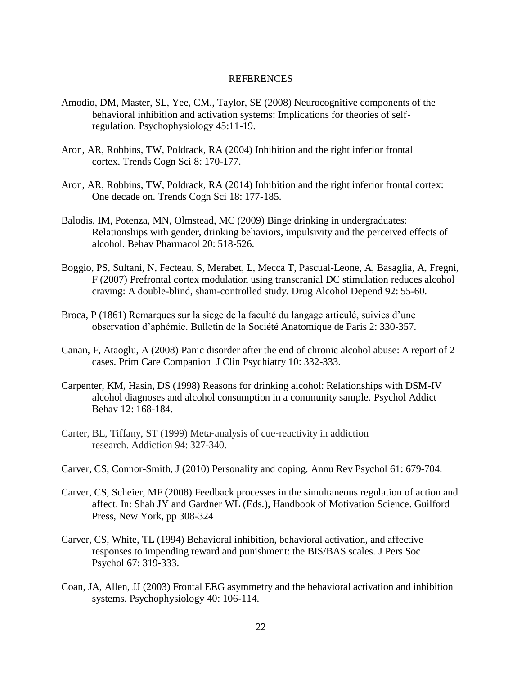#### REFERENCES

- Amodio, DM, Master, SL, Yee, CM., Taylor, SE (2008) Neurocognitive components of the behavioral inhibition and activation systems: Implications for theories of self‐ regulation. Psychophysiology 45:11-19.
- Aron, AR, Robbins, TW, Poldrack, RA (2004) Inhibition and the right inferior frontal cortex. Trends Cogn Sci 8: 170-177.
- Aron, AR, Robbins, TW, Poldrack, RA (2014) Inhibition and the right inferior frontal cortex: One decade on. Trends Cogn Sci 18: 177-185.
- Balodis, IM, Potenza, MN, Olmstead, MC (2009) Binge drinking in undergraduates: Relationships with gender, drinking behaviors, impulsivity and the perceived effects of alcohol. Behav Pharmacol 20: 518-526.
- Boggio, PS, Sultani, N, Fecteau, S, Merabet, L, Mecca T, Pascual-Leone, A, Basaglia, A, Fregni, F (2007) Prefrontal cortex modulation using transcranial DC stimulation reduces alcohol craving: A double-blind, sham-controlled study. Drug Alcohol Depend 92: 55-60.
- Broca, P (1861) Remarques sur la siege de la faculté du langage articulé, suivies d"une observation d"aphémie. Bulletin de la Société Anatomique de Paris 2: 330-357.
- Canan, F, Ataoglu, A (2008) Panic disorder after the end of chronic alcohol abuse: A report of 2 cases. Prim Care Companion J Clin Psychiatry 10: 332-333.
- Carpenter, KM, Hasin, DS (1998) Reasons for drinking alcohol: Relationships with DSM-IV alcohol diagnoses and alcohol consumption in a community sample. Psychol Addict Behav 12: 168-184.
- Carter, BL, Tiffany, ST (1999) Meta-analysis of cue-reactivity in addiction research. Addiction 94: 327-340.
- Carver, CS, Connor-Smith, J (2010) Personality and coping. Annu Rev Psychol 61: 679-704.
- Carver, CS, Scheier, MF (2008) Feedback processes in the simultaneous regulation of action and affect. In: Shah JY and Gardner WL (Eds.), Handbook of Motivation Science. Guilford Press, New York, pp 308-324
- Carver, CS, White, TL (1994) Behavioral inhibition, behavioral activation, and affective responses to impending reward and punishment: the BIS/BAS scales. J Pers Soc Psychol 67: 319-333.
- Coan, JA, Allen, JJ (2003) Frontal EEG asymmetry and the behavioral activation and inhibition systems. Psychophysiology 40: 106-114.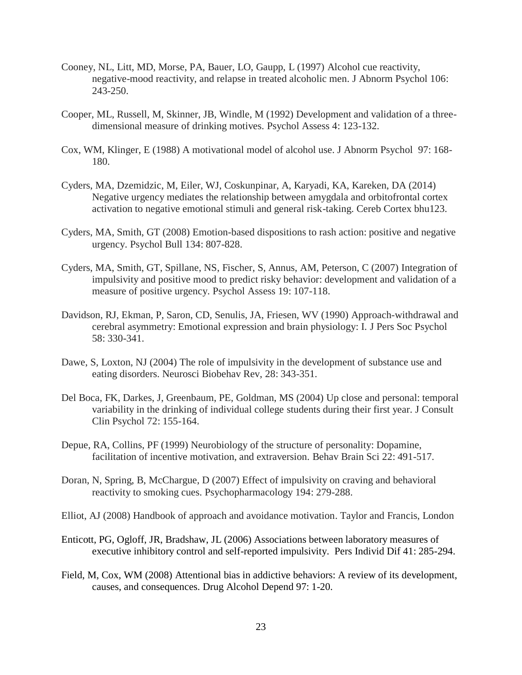- Cooney, NL, Litt, MD, Morse, PA, Bauer, LO, Gaupp, L (1997) Alcohol cue reactivity, negative-mood reactivity, and relapse in treated alcoholic men. J Abnorm Psychol 106: 243-250.
- Cooper, ML, Russell, M, Skinner, JB, Windle, M (1992) Development and validation of a threedimensional measure of drinking motives. Psychol Assess 4: 123-132.
- Cox, WM, Klinger, E (1988) A motivational model of alcohol use. J Abnorm Psychol 97: 168- 180.
- Cyders, MA, Dzemidzic, M, Eiler, WJ, Coskunpinar, A, Karyadi, KA, Kareken, DA (2014) Negative urgency mediates the relationship between amygdala and orbitofrontal cortex activation to negative emotional stimuli and general risk-taking. Cereb Cortex bhu123.
- Cyders, MA, Smith, GT (2008) Emotion-based dispositions to rash action: positive and negative urgency. Psychol Bull 134: 807-828.
- Cyders, MA, Smith, GT, Spillane, NS, Fischer, S, Annus, AM, Peterson, C (2007) Integration of impulsivity and positive mood to predict risky behavior: development and validation of a measure of positive urgency. Psychol Assess 19: 107-118.
- Davidson, RJ, Ekman, P, Saron, CD, Senulis, JA, Friesen, WV (1990) Approach-withdrawal and cerebral asymmetry: Emotional expression and brain physiology: I. J Pers Soc Psychol 58: 330-341.
- Dawe, S, Loxton, NJ (2004) The role of impulsivity in the development of substance use and eating disorders. Neurosci Biobehav Rev, 28: 343-351.
- Del Boca, FK, Darkes, J, Greenbaum, PE, Goldman, MS (2004) Up close and personal: temporal variability in the drinking of individual college students during their first year. J Consult Clin Psychol 72: 155-164.
- Depue, RA, Collins, PF (1999) Neurobiology of the structure of personality: Dopamine, facilitation of incentive motivation, and extraversion. Behav Brain Sci 22: 491-517.
- Doran, N, Spring, B, McChargue, D (2007) Effect of impulsivity on craving and behavioral reactivity to smoking cues. Psychopharmacology 194: 279-288.
- Elliot, AJ (2008) Handbook of approach and avoidance motivation. Taylor and Francis, London
- Enticott, PG, Ogloff, JR, Bradshaw, JL (2006) Associations between laboratory measures of executive inhibitory control and self-reported impulsivity. Pers Individ Dif 41: 285-294.
- Field, M, Cox, WM (2008) Attentional bias in addictive behaviors: A review of its development, causes, and consequences. Drug Alcohol Depend 97: 1-20.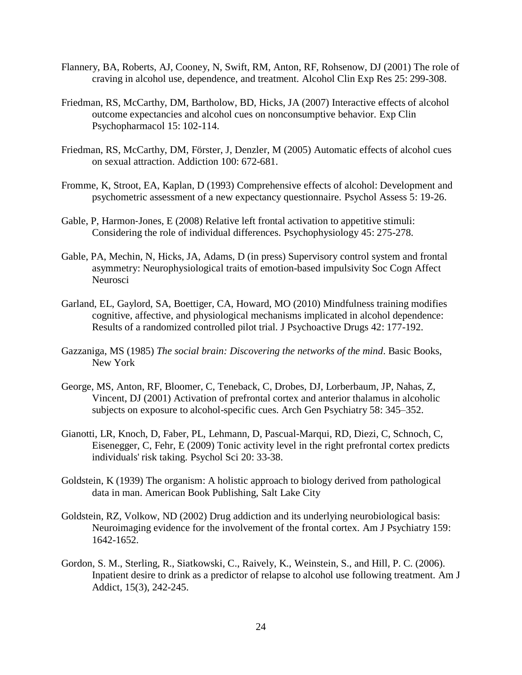- Flannery, BA, Roberts, AJ, Cooney, N, Swift, RM, Anton, RF, Rohsenow, DJ (2001) The role of craving in alcohol use, dependence, and treatment. Alcohol Clin Exp Res 25: 299-308.
- Friedman, RS, McCarthy, DM, Bartholow, BD, Hicks, JA (2007) Interactive effects of alcohol outcome expectancies and alcohol cues on nonconsumptive behavior. Exp Clin Psychopharmacol 15: 102-114.
- Friedman, RS, McCarthy, DM, Förster, J, Denzler, M (2005) Automatic effects of alcohol cues on sexual attraction. Addiction 100: 672-681.
- Fromme, K, Stroot, EA, Kaplan, D (1993) Comprehensive effects of alcohol: Development and psychometric assessment of a new expectancy questionnaire. Psychol Assess 5: 19-26.
- Gable, P, Harmon‐Jones, E (2008) Relative left frontal activation to appetitive stimuli: Considering the role of individual differences. Psychophysiology 45: 275-278.
- Gable, PA, Mechin, N, Hicks, JA, Adams, D (in press) Supervisory control system and frontal asymmetry: Neurophysiological traits of emotion-based impulsivity Soc Cogn Affect Neurosci
- Garland, EL, Gaylord, SA, Boettiger, CA, Howard, MO (2010) Mindfulness training modifies cognitive, affective, and physiological mechanisms implicated in alcohol dependence: Results of a randomized controlled pilot trial. J Psychoactive Drugs 42: 177-192.
- Gazzaniga, MS (1985) *The social brain: Discovering the networks of the mind*. Basic Books, New York
- George, MS, Anton, RF, Bloomer, C, Teneback, C, Drobes, DJ, Lorberbaum, JP, Nahas, Z, Vincent, DJ (2001) Activation of prefrontal cortex and anterior thalamus in alcoholic subjects on exposure to alcohol-specific cues. Arch Gen Psychiatry 58: 345–352.
- Gianotti, LR, Knoch, D, Faber, PL, Lehmann, D, Pascual-Marqui, RD, Diezi, C, Schnoch, C, Eisenegger, C, Fehr, E (2009) Tonic activity level in the right prefrontal cortex predicts individuals' risk taking. Psychol Sci 20: 33-38.
- Goldstein, K (1939) The organism: A holistic approach to biology derived from pathological data in man. American Book Publishing, Salt Lake City
- Goldstein, RZ, Volkow, ND (2002) Drug addiction and its underlying neurobiological basis: Neuroimaging evidence for the involvement of the frontal cortex. Am J Psychiatry 159: 1642-1652.
- Gordon, S. M., Sterling, R., Siatkowski, C., Raively, K., Weinstein, S., and Hill, P. C. (2006). Inpatient desire to drink as a predictor of relapse to alcohol use following treatment. Am J Addict, 15(3), 242-245.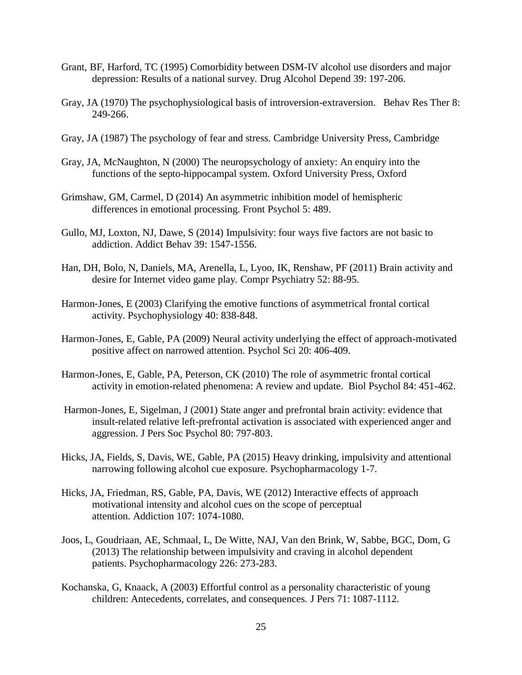- Grant, BF, Harford, TC (1995) Comorbidity between DSM-IV alcohol use disorders and major depression: Results of a national survey. Drug Alcohol Depend 39: 197-206.
- Gray, JA (1970) The psychophysiological basis of introversion-extraversion. Behav Res Ther 8: 249-266.
- Gray, JA (1987) The psychology of fear and stress. Cambridge University Press, Cambridge
- Gray, JA, McNaughton, N (2000) The neuropsychology of anxiety: An enquiry into the functions of the septo-hippocampal system. Oxford University Press, Oxford
- Grimshaw, GM, Carmel, D (2014) An asymmetric inhibition model of hemispheric differences in emotional processing. Front Psychol 5: 489.
- Gullo, MJ, Loxton, NJ, Dawe, S (2014) Impulsivity: four ways five factors are not basic to addiction. Addict Behav 39: 1547-1556.
- Han, DH, Bolo, N, Daniels, MA, Arenella, L, Lyoo, IK, Renshaw, PF (2011) Brain activity and desire for Internet video game play. Compr Psychiatry 52: 88-95.
- Harmon‐Jones, E (2003) Clarifying the emotive functions of asymmetrical frontal cortical activity. Psychophysiology 40: 838-848.
- Harmon-Jones, E, Gable, PA (2009) Neural activity underlying the effect of approach-motivated positive affect on narrowed attention. Psychol Sci 20: 406-409.
- Harmon-Jones, E, Gable, PA, Peterson, CK (2010) The role of asymmetric frontal cortical activity in emotion-related phenomena: A review and update. Biol Psychol 84: 451-462.
- Harmon-Jones, E, Sigelman, J (2001) State anger and prefrontal brain activity: evidence that insult-related relative left-prefrontal activation is associated with experienced anger and aggression. J Pers Soc Psychol 80: 797-803.
- Hicks, JA, Fields, S, Davis, WE, Gable, PA (2015) Heavy drinking, impulsivity and attentional narrowing following alcohol cue exposure. Psychopharmacology 1-7.
- Hicks, JA, Friedman, RS, Gable, PA, Davis, WE (2012) Interactive effects of approach motivational intensity and alcohol cues on the scope of perceptual attention. Addiction 107: 1074-1080.
- Joos, L, Goudriaan, AE, Schmaal, L, De Witte, NAJ, Van den Brink, W, Sabbe, BGC, Dom, G (2013) The relationship between impulsivity and craving in alcohol dependent patients. Psychopharmacology 226: 273-283.
- Kochanska, G, Knaack, A (2003) Effortful control as a personality characteristic of young children: Antecedents, correlates, and consequences. J Pers 71: 1087-1112.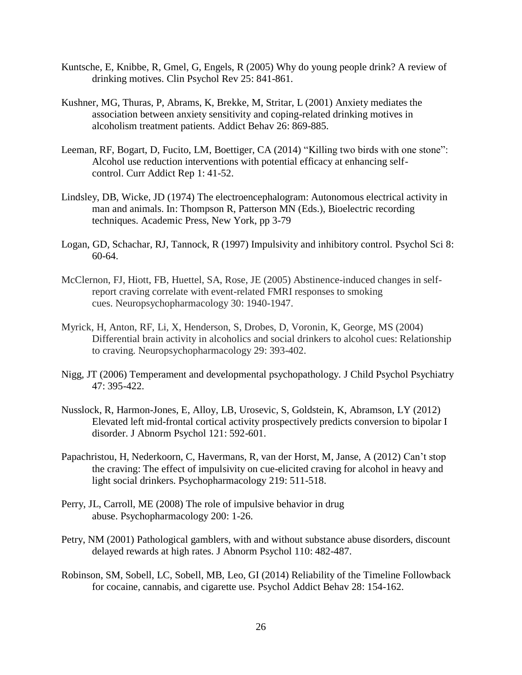- Kuntsche, E, Knibbe, R, Gmel, G, Engels, R (2005) Why do young people drink? A review of drinking motives. Clin Psychol Rev 25: 841-861.
- Kushner, MG, Thuras, P, Abrams, K, Brekke, M, Stritar, L (2001) Anxiety mediates the association between anxiety sensitivity and coping-related drinking motives in alcoholism treatment patients. Addict Behav 26: 869-885.
- Leeman, RF, Bogart, D, Fucito, LM, Boettiger, CA (2014) "Killing two birds with one stone": Alcohol use reduction interventions with potential efficacy at enhancing selfcontrol. Curr Addict Rep 1: 41-52.
- Lindsley, DB, Wicke, JD (1974) The electroencephalogram: Autonomous electrical activity in man and animals. In: Thompson R, Patterson MN (Eds.), Bioelectric recording techniques. Academic Press, New York, pp 3-79
- Logan, GD, Schachar, RJ, Tannock, R (1997) Impulsivity and inhibitory control. Psychol Sci 8: 60-64.
- McClernon, FJ, Hiott, FB, Huettel, SA, Rose, JE (2005) Abstinence-induced changes in selfreport craving correlate with event-related FMRI responses to smoking cues. Neuropsychopharmacology 30: 1940-1947.
- Myrick, H, Anton, RF, Li, X, Henderson, S, Drobes, D, Voronin, K, George, MS (2004) Differential brain activity in alcoholics and social drinkers to alcohol cues: Relationship to craving. Neuropsychopharmacology 29: 393-402.
- Nigg, JT (2006) Temperament and developmental psychopathology. J Child Psychol Psychiatry 47: 395-422.
- Nusslock, R, Harmon-Jones, E, Alloy, LB, Urosevic, S, Goldstein, K, Abramson, LY (2012) Elevated left mid-frontal cortical activity prospectively predicts conversion to bipolar I disorder. J Abnorm Psychol 121: 592-601.
- Papachristou, H, Nederkoorn, C, Havermans, R, van der Horst, M, Janse, A (2012) Can"t stop the craving: The effect of impulsivity on cue-elicited craving for alcohol in heavy and light social drinkers. Psychopharmacology 219: 511-518.
- Perry, JL, Carroll, ME (2008) The role of impulsive behavior in drug abuse. Psychopharmacology 200: 1-26.
- Petry, NM (2001) Pathological gamblers, with and without substance abuse disorders, discount delayed rewards at high rates. J Abnorm Psychol 110: 482-487.
- Robinson, SM, Sobell, LC, Sobell, MB, Leo, GI (2014) Reliability of the Timeline Followback for cocaine, cannabis, and cigarette use. Psychol Addict Behav 28: 154-162.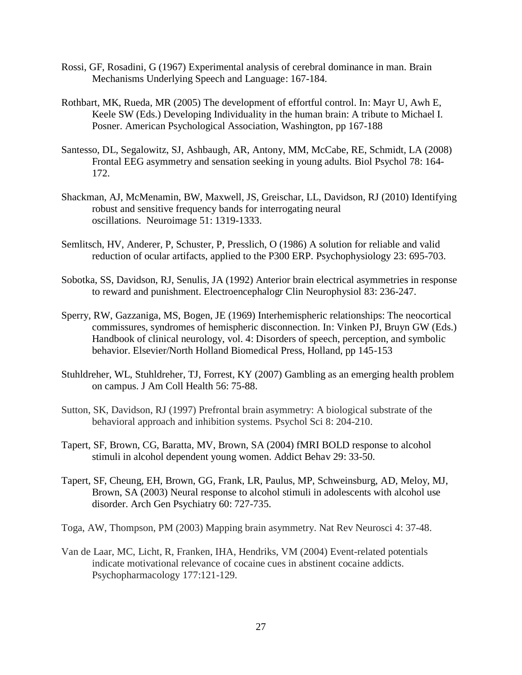- Rossi, GF, Rosadini, G (1967) Experimental analysis of cerebral dominance in man. Brain Mechanisms Underlying Speech and Language: 167-184.
- Rothbart, MK, Rueda, MR (2005) The development of effortful control. In: Mayr U, Awh E, Keele SW (Eds.) Developing Individuality in the human brain: A tribute to Michael I. Posner. American Psychological Association, Washington, pp 167-188
- Santesso, DL, Segalowitz, SJ, Ashbaugh, AR, Antony, MM, McCabe, RE, Schmidt, LA (2008) Frontal EEG asymmetry and sensation seeking in young adults. Biol Psychol 78: 164- 172.
- Shackman, AJ, McMenamin, BW, Maxwell, JS, Greischar, LL, Davidson, RJ (2010) Identifying robust and sensitive frequency bands for interrogating neural oscillations. Neuroimage 51: 1319-1333.
- Semlitsch, HV, Anderer, P, Schuster, P, Presslich, O (1986) A solution for reliable and valid reduction of ocular artifacts, applied to the P300 ERP. Psychophysiology 23: 695-703.
- Sobotka, SS, Davidson, RJ, Senulis, JA (1992) Anterior brain electrical asymmetries in response to reward and punishment. Electroencephalogr Clin Neurophysiol 83: 236-247.
- Sperry, RW, Gazzaniga, MS, Bogen, JE (1969) Interhemispheric relationships: The neocortical commissures, syndromes of hemispheric disconnection. In: Vinken PJ, Bruyn GW (Eds.) Handbook of clinical neurology, vol. 4: Disorders of speech, perception, and symbolic behavior. Elsevier/North Holland Biomedical Press, Holland, pp 145-153
- Stuhldreher, WL, Stuhldreher, TJ, Forrest, KY (2007) Gambling as an emerging health problem on campus. J Am Coll Health 56: 75-88.
- Sutton, SK, Davidson, RJ (1997) Prefrontal brain asymmetry: A biological substrate of the behavioral approach and inhibition systems. Psychol Sci 8: 204-210.
- Tapert, SF, Brown, CG, Baratta, MV, Brown, SA (2004) fMRI BOLD response to alcohol stimuli in alcohol dependent young women. Addict Behav 29: 33-50.
- Tapert, SF, Cheung, EH, Brown, GG, Frank, LR, Paulus, MP, Schweinsburg, AD, Meloy, MJ, Brown, SA (2003) Neural response to alcohol stimuli in adolescents with alcohol use disorder. Arch Gen Psychiatry 60: 727-735.
- Toga, AW, Thompson, PM (2003) Mapping brain asymmetry. Nat Rev Neurosci 4: 37-48.
- Van de Laar, MC, Licht, R, Franken, IHA, Hendriks, VM (2004) Event-related potentials indicate motivational relevance of cocaine cues in abstinent cocaine addicts. Psychopharmacology 177:121-129.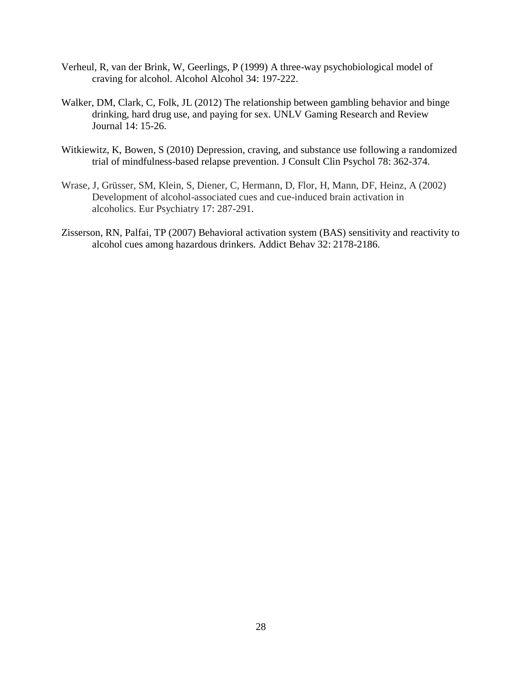- Verheul, R, van der Brink, W, Geerlings, P (1999) A three-way psychobiological model of craving for alcohol. Alcohol Alcohol 34: 197-222.
- Walker, DM, Clark, C, Folk, JL (2012) The relationship between gambling behavior and binge drinking, hard drug use, and paying for sex. UNLV Gaming Research and Review Journal 14: 15-26.
- Witkiewitz, K, Bowen, S (2010) Depression, craving, and substance use following a randomized trial of mindfulness-based relapse prevention. J Consult Clin Psychol 78: 362-374.
- Wrase, J, Grüsser, SM, Klein, S, Diener, C, Hermann, D, Flor, H, Mann, DF, Heinz, A (2002) Development of alcohol-associated cues and cue-induced brain activation in alcoholics. Eur Psychiatry 17: 287-291.
- Zisserson, RN, Palfai, TP (2007) Behavioral activation system (BAS) sensitivity and reactivity to alcohol cues among hazardous drinkers. Addict Behav 32: 2178-2186.